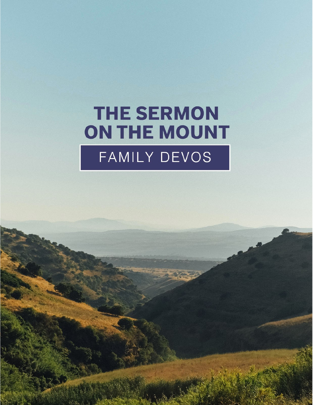# **THE SERMON** ON THE MOUNT FAMILY DEVOS

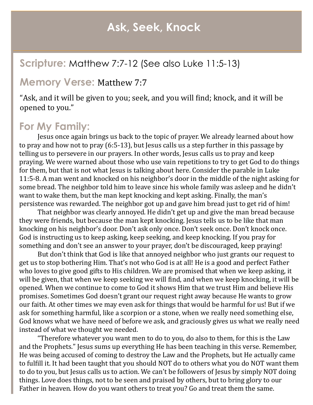## **Ask, Seek, Knock**

## **Scripture:** Matthew 7:7-12 (See also Luke 11:5-13)

#### **Memory Verse:** Matthew 7:7

"Ask, and it will be given to you; seek, and you will find; knock, and it will be opened to you."

## **For My Family:**

Jesus once again brings us back to the topic of prayer. We already learned about how to pray and how not to pray (6:5-13), but Jesus calls us a step further in this passage by telling us to persevere in our prayers. In other words, Jesus calls us to pray and keep praying. We were warned about those who use vain repetitions to try to get God to do things for them, but that is not what Jesus is talking about here. Consider the parable in Luke 11:5-8. A man went and knocked on his neighbor's door in the middle of the night asking for some bread. The neighbor told him to leave since his whole family was asleep and he didn't want to wake them, but the man kept knocking and kept asking. Finally, the man's persistence was rewarded. The neighbor got up and gave him bread just to get rid of him!

That neighbor was clearly annoyed. He didn't get up and give the man bread because they were friends, but because the man kept knocking. Jesus tells us to be like that man knocking on his neighbor's door. Don't ask only once. Don't seek once. Don't knock once. God is instructing us to keep asking, keep seeking, and keep knocking. If you pray for something and don't see an answer to your prayer, don't be discouraged, keep praying!

But don't think that God is like that annoyed neighbor who just grants our request to get us to stop bothering Him. That's not who God is at all! He is a good and perfect Father who loves to give good gifts to His children. We are promised that when we keep asking, it will be given, that when we keep seeking we will find, and when we keep knocking, it will be opened. When we continue to come to God it shows Him that we trust Him and believe His promises. Sometimes God doesn't grant our request right away because He wants to grow our faith. At other times we may even ask for things that would be harmful for us! But if we ask for something harmful, like a scorpion or a stone, when we really need something else, God knows what we have need of before we ask, and graciously gives us what we really need instead of what we thought we needed.

"Therefore whatever you want men to do to you, do also to them, for this is the Law and the Prophets." Jesus sums up everything He has been teaching in this verse. Remember, He was being accused of coming to destroy the Law and the Prophets, but He actually came to fulfill it. It had been taught that you should NOT do to others what you do NOT want them to do to you, but Jesus calls us to action. We can't be followers of Jesus by simply NOT doing things. Love does things, not to be seen and praised by others, but to bring glory to our Father in heaven. How do you want others to treat you? Go and treat them the same.